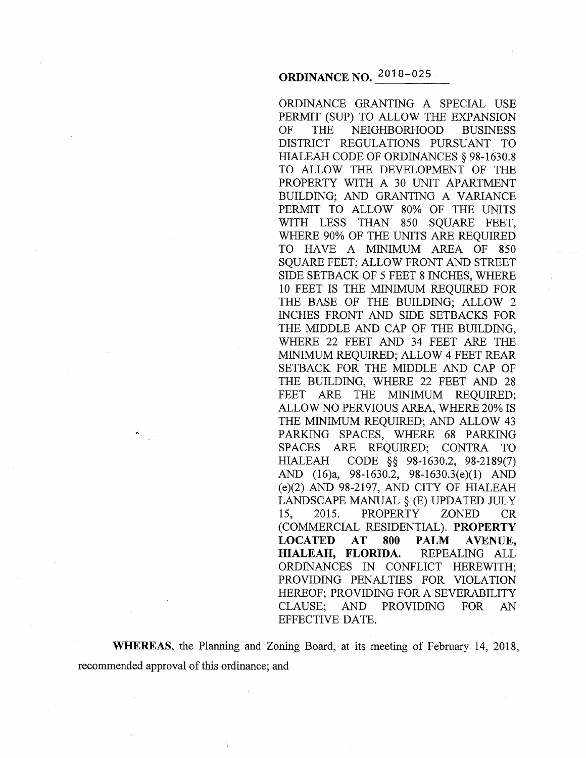ORDINANCE GRANTING A SPECIAL USE PERMIT (SUP) TO ALLOW THE EXPANSION OF THE NEIGHBORHOOD BUSINESS DISTRICT REGULATIONS PURSUANT TO HIALEAH CODE OF ORDINANCES§ 98-1630.8 TO ALLOW THE DEVELOPMENT OF THE PROPERTY WITH A 30 UNIT APARTMENT BUILDING; AND GRANTING A VARIANCE PERMIT TO ALLOW 80% OF THE UNITS WITH LESS THAN 850 SQUARE FEET, WHERE 90% OF THE UNITS ARE REQUIRED TO HAVE A MINIMUM AREA OF 850 SQUARE FEET; ALLOW FRONT AND STREET SIDE SETBACK OF 5 FEET 8 INCHES, WHERE 10 FEET IS THE MINIMUM REQUIRED FOR THE BASE OF THE BUILDING; ALLOW 2 INCHES FRONT AND SIDE SETBACKS FOR THE MIDDLE AND CAP OF THE BUILDING, WHERE 22 FEET AND 34 FEET ARE THE MINIMUM REQUIRED; ALLOW 4 FEET REAR SETBACK FOR THE MIDDLE AND CAP OF THE BUILDING, WHERE 22 FEET AND 28 FEET ARE THE MINIMUM REQUIRED; ALLOW NO PERVIOUS AREA, WHERE 20% IS THE MINIMUM REQUIRED; AND ALLOW 43 PARKING SPACES, WHERE 68 PARKING SPACES ARE REQUIRED; CONTRA TO HIALEAH CODE §§ 98-1630.2, 98-2189(7) AND (16)a, 98-1630.2, 98-1630.3(e)(1) AND (e)(2) AND 98-2197, AND CITY OF HIALEAH LANDSCAPE MANUAL§ (E) UPDATED JULY 15, 2015. PROPERTY ZONED CR (COMMERCIAL RESIDENTIAL). **PROPERTY LOCATED AT 800 PALM AVENUE, HIALEAH, FLORIDA.** REPEALING ALL ORDINANCES IN CONFLICT HEREWITH; PROVIDING PENALTIES FOR VIOLATION HEREOF; PROVIDING FOR A SEVERABILITY CLAUSE; AND PROVIDING FOR AN EFFECTIVE DATE.

**WHEREAS,** the Planning and Zoning Board, at its meeting of February 14, 2018, recommended approval of this ordinance; and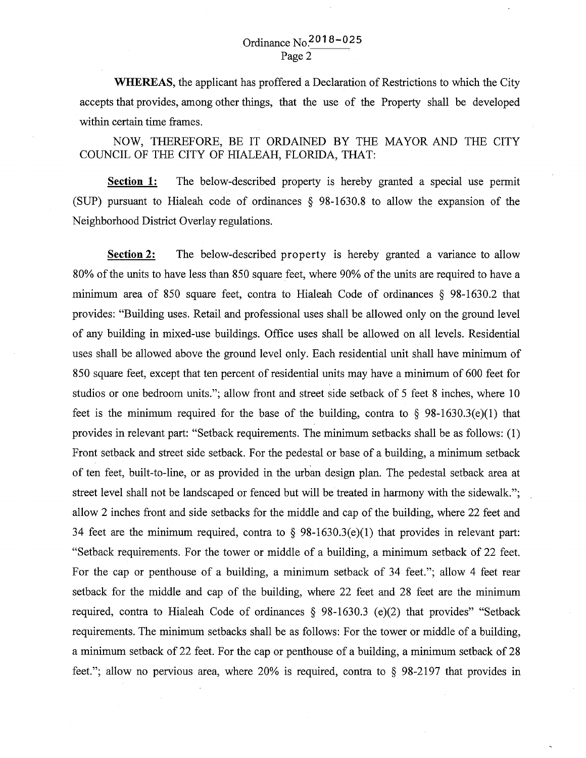# Ordinance No.201 8-025 Page2

**WHEREAS,** the applicant has proffered a Declaration of Restrictions to which the City accepts that provides, among other things, that the use of the Property shall be developed within certain time frames.

NOW, THEREFORE, BE IT ORDAINED BY THE MAYOR AND THE CITY COUNCIL OF THE CITY OF HIALEAH, FLORIDA, THAT:

**Section 1:** The below-described property is hereby granted a special use permit (SUP) pursuant to Hialeah code of ordinances § 98-1630.8 to allow the expansion of the Neighborhood District Overlay regulations.

**Section 2:** The below-described property is hereby granted a variance to allow 80% of the units to have less than 850 square feet, where 90% of the units are required to have a minimum area of 850 square feet, contra to Hialeah Code of ordinances § 98-1630.2 that provides: "Building uses. Retail and professional uses shall be allowed only on the ground level of any building in mixed-use buildings. Office uses shall be allowed on all levels. Residential uses shall be allowed above the ground level only. Each residential unit shall have minimum of 850 square feet, except that ten percent of residential units may have a minimum of 600 feet for studios or one bedroom units."; allow front and street side setback of 5 feet 8 inches, where 10 feet is the minimum required for the base of the building, contra to  $\S$  98-1630.3(e)(1) that provides in relevant part: "Setback requirements. The minimum setbacks shall be as follows: (1) Front setback and street side setback. For the pedestal or base of a building, a minimum setback of ten feet, built-to-line, or as provided in the urban design plan. The pedestal setback area at street level shall not be landscaped or fenced but will be treated in harmony with the sidewalk."; allow 2 inches front and side setbacks for the middle and cap of the building, where 22 feet and 34 feet are the minimum required, contra to  $\S$  98-1630.3(e)(1) that provides in relevant part: "Setback requirements. For the tower or middle of a building, a minimum setback of 22 feet. For the cap or penthouse of a building, a minimum setback of 34 feet."; allow 4 feet rear setback for the middle and cap of the building, where 22 feet and 28 feet are the minimum required, contra to Hialeah Code of ordinances § 98-1630.3 (e)(2) that provides" "Setback requirements. The minimum setbacks shall be as follows: For the tower or middle of a building, a minimum setback of 22 feet. For the cap or penthouse of a building, a minimum setback of 28 feet."; allow no pervious area, where 20% is required, contra to § 98-2197 that provides in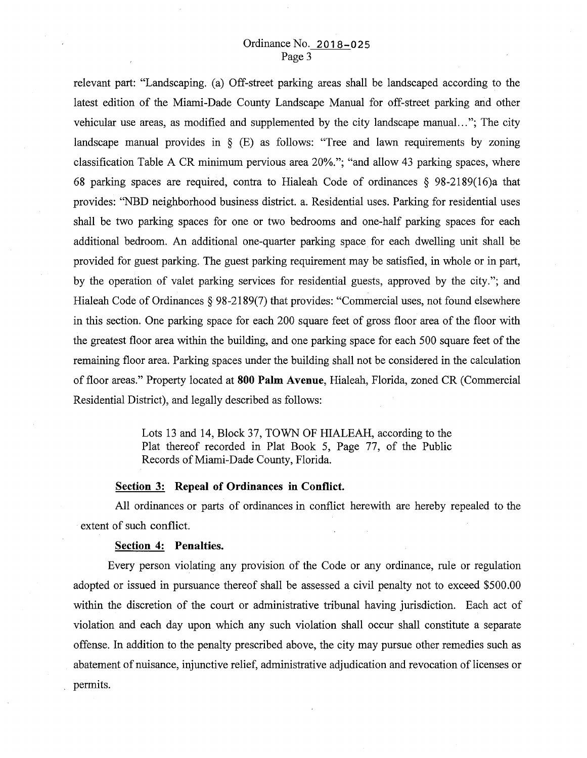## Ordinance No. 2018-025 Page 3

relevant part: "Landscaping. (a) Off-street parking areas shall be landscaped according to the latest edition of the Miami-Dade County Landscape Manual for off-street parking and other vehicular use areas, as modified and supplemented by the city landscape manual..."; The city landscape manual provides in  $\S$  (E) as follows: "Tree and lawn requirements by zoning classification Table A CR minimum pervious area 20%."; "and allow 43 parking spaces, where 68 parking spaces are required, contra to Hialeah Code of ordinances § 98-2189(16)a that provides: "NBD neighborhood business district. a. Residential uses. Parking for residential uses shall be two parking spaces for one or two bedrooms and one-half parking spaces for each additional bedroom. An additional one-quarter parking space for each dwelling unit shall be provided for guest parking. The guest parking requirement may be satisfied, in whole or in part, by the operation of valet parking services for residential guests, approved by the city."; and Hialeah Code of Ordinances § 98-2189(7) that provides: "Commercial uses, not found elsewhere in this section. One parking space for each 200 square feet of gross floor area of the floor with the greatest floor area within the building, and one parking space for each 500 square feet of the remaining floor area. Parking spaces under the building shall not be considered in the calculation of floor areas." Property located at **800 Palm Avenue,** Hialeah, Florida, zoned CR (Commercial Residential District), and legally described as follows:

> Lots 13 and 14, Block 37, TOWN OF HIALEAH, according to the Plat thereof recorded in Plat Book 5, Page 77, of the Public Records of Miami-Dade County, Florida.

### **Section 3: Repeal of Ordinances in Conflict.**

All ordinances or parts of ordinances in conflict herewith are hereby repealed to the extent of such conflict.

#### **Section 4: Penalties.**

Every person violating any provision of the Code or any ordinance, rule or regulation adopted or issued in pursuance thereof shall be assessed a civil penalty not to exceed \$500.00 within the discretion of the court or administrative tribunal having jurisdiction. Each act of violation and each day upon which any such violation shall occur shall constitute a separate offense. In addition to the penalty prescribed above, the city may pursue other remedies such as abatement of nuisance, injunctive relief, administrative adjudication and revocation of licenses or permits.